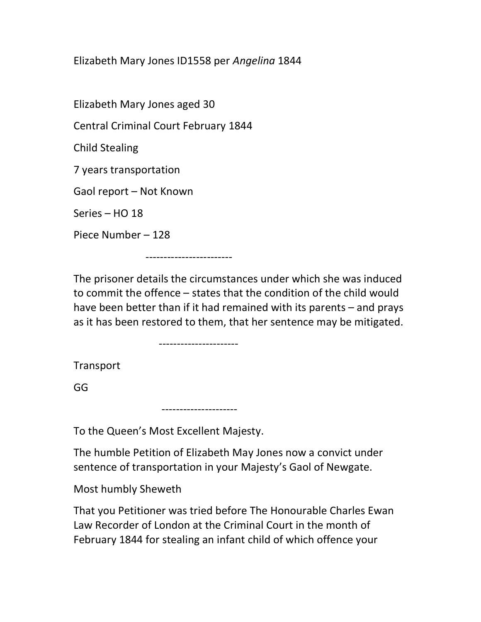Elizabeth Mary Jones ID1558 per Angelina 1844

Elizabeth Mary Jones aged 30 Central Criminal Court February 1844 Child Stealing 7 years transportation Gaol report – Not Known Series – HO 18 Piece Number – 128

 ------------------------ The prisoner details the circumstances under which she was induced

to commit the offence – states that the condition of the child would have been better than if it had remained with its parents – and prays as it has been restored to them, that her sentence may be mitigated.

----------------------

Transport

GG

To the Queen's Most Excellent Majesty.

---------------------

The humble Petition of Elizabeth May Jones now a convict under sentence of transportation in your Majesty's Gaol of Newgate.

Most humbly Sheweth

That you Petitioner was tried before The Honourable Charles Ewan Law Recorder of London at the Criminal Court in the month of February 1844 for stealing an infant child of which offence your